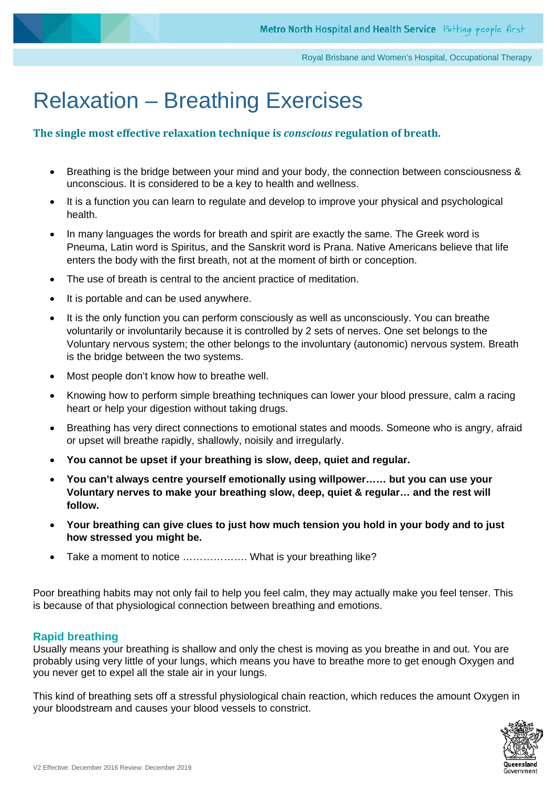# Relaxation – Breathing Exercises

#### **The single most effective relaxation technique is** *conscious* **regulation of breath.**

- Breathing is the bridge between your mind and your body, the connection between consciousness & unconscious. It is considered to be a key to health and wellness.
- It is a function you can learn to regulate and develop to improve your physical and psychological health.
- In many languages the words for breath and spirit are exactly the same. The Greek word is Pneuma, Latin word is Spiritus, and the Sanskrit word is Prana. Native Americans believe that life enters the body with the first breath, not at the moment of birth or conception.
- The use of breath is central to the ancient practice of meditation.
- It is portable and can be used anywhere.
- It is the only function you can perform consciously as well as unconsciously. You can breathe voluntarily or involuntarily because it is controlled by 2 sets of nerves. One set belongs to the Voluntary nervous system; the other belongs to the involuntary (autonomic) nervous system. Breath is the bridge between the two systems.
- Most people don't know how to breathe well.
- Knowing how to perform simple breathing techniques can lower your blood pressure, calm a racing heart or help your digestion without taking drugs.
- Breathing has very direct connections to emotional states and moods. Someone who is angry, afraid or upset will breathe rapidly, shallowly, noisily and irregularly.
- **You cannot be upset if your breathing is slow, deep, quiet and regular.**
- **You can't always centre yourself emotionally using willpower…… but you can use your Voluntary nerves to make your breathing slow, deep, quiet & regular… and the rest will follow.**
- **Your breathing can give clues to just how much tension you hold in your body and to just how stressed you might be.**
- Take a moment to notice ................... What is your breathing like?

Poor breathing habits may not only fail to help you feel calm, they may actually make you feel tenser. This is because of that physiological connection between breathing and emotions.

#### **Rapid breathing**

Usually means your breathing is shallow and only the chest is moving as you breathe in and out. You are probably using very little of your lungs, which means you have to breathe more to get enough Oxygen and you never get to expel all the stale air in your lungs.

This kind of breathing sets off a stressful physiological chain reaction, which reduces the amount Oxygen in your bloodstream and causes your blood vessels to constrict.

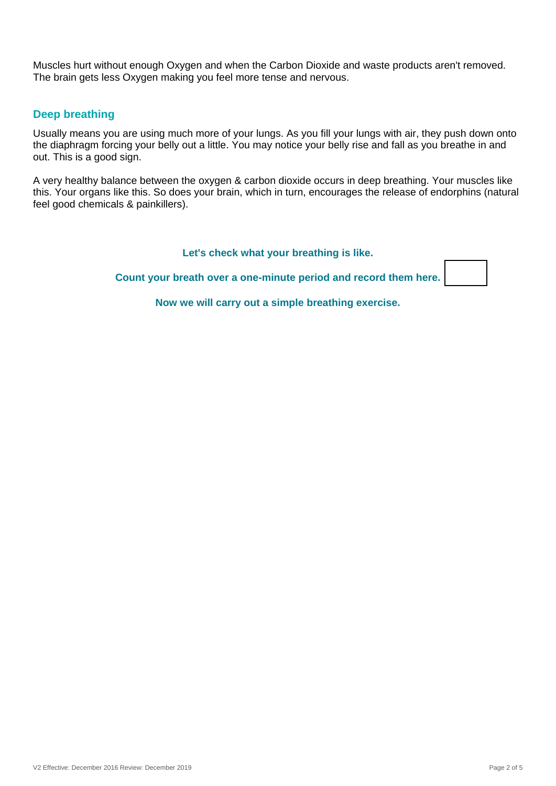Muscles hurt without enough Oxygen and when the Carbon Dioxide and waste products aren't removed. The brain gets less Oxygen making you feel more tense and nervous.

#### **Deep breathing**

Usually means you are using much more of your lungs. As you fill your lungs with air, they push down onto the diaphragm forcing your belly out a little. You may notice your belly rise and fall as you breathe in and out. This is a good sign.

A very healthy balance between the oxygen & carbon dioxide occurs in deep breathing. Your muscles like this. Your organs like this. So does your brain, which in turn, encourages the release of endorphins (natural feel good chemicals & painkillers).

**Let's check what your breathing is like.**

**Count your breath over a one-minute period and record them here.**

**Now we will carry out a simple breathing exercise.**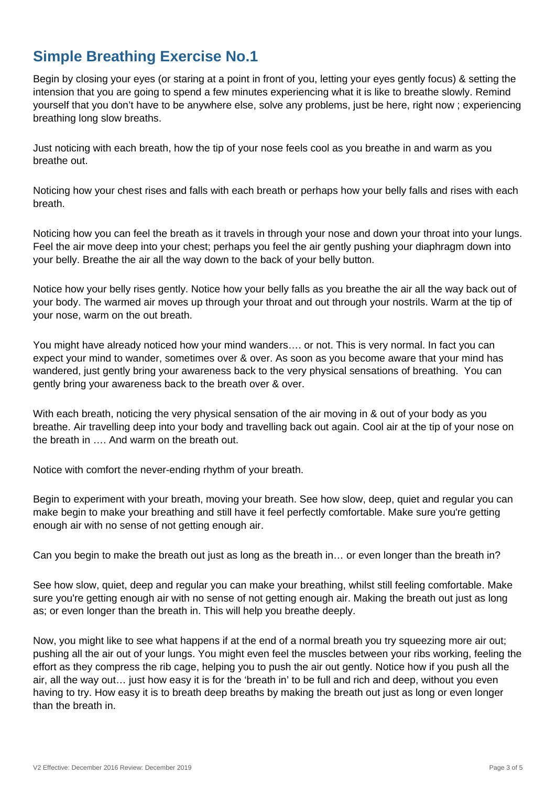## **Simple Breathing Exercise No.1**

Begin by closing your eyes (or staring at a point in front of you, letting your eyes gently focus) & setting the intension that you are going to spend a few minutes experiencing what it is like to breathe slowly. Remind yourself that you don't have to be anywhere else, solve any problems, just be here, right now ; experiencing breathing long slow breaths.

Just noticing with each breath, how the tip of your nose feels cool as you breathe in and warm as you breathe out.

Noticing how your chest rises and falls with each breath or perhaps how your belly falls and rises with each breath.

Noticing how you can feel the breath as it travels in through your nose and down your throat into your lungs. Feel the air move deep into your chest; perhaps you feel the air gently pushing your diaphragm down into your belly. Breathe the air all the way down to the back of your belly button.

Notice how your belly rises gently. Notice how your belly falls as you breathe the air all the way back out of your body. The warmed air moves up through your throat and out through your nostrils. Warm at the tip of your nose, warm on the out breath.

You might have already noticed how your mind wanders…. or not. This is very normal. In fact you can expect your mind to wander, sometimes over & over. As soon as you become aware that your mind has wandered, just gently bring your awareness back to the very physical sensations of breathing. You can gently bring your awareness back to the breath over & over.

With each breath, noticing the very physical sensation of the air moving in & out of your body as you breathe. Air travelling deep into your body and travelling back out again. Cool air at the tip of your nose on the breath in …. And warm on the breath out.

Notice with comfort the never-ending rhythm of your breath.

Begin to experiment with your breath, moving your breath. See how slow, deep, quiet and regular you can make begin to make your breathing and still have it feel perfectly comfortable. Make sure you're getting enough air with no sense of not getting enough air.

Can you begin to make the breath out just as long as the breath in… or even longer than the breath in?

See how slow, quiet, deep and regular you can make your breathing, whilst still feeling comfortable. Make sure you're getting enough air with no sense of not getting enough air. Making the breath out just as long as; or even longer than the breath in. This will help you breathe deeply.

Now, you might like to see what happens if at the end of a normal breath you try squeezing more air out; pushing all the air out of your lungs. You might even feel the muscles between your ribs working, feeling the effort as they compress the rib cage, helping you to push the air out gently. Notice how if you push all the air, all the way out… just how easy it is for the 'breath in' to be full and rich and deep, without you even having to try. How easy it is to breath deep breaths by making the breath out just as long or even longer than the breath in.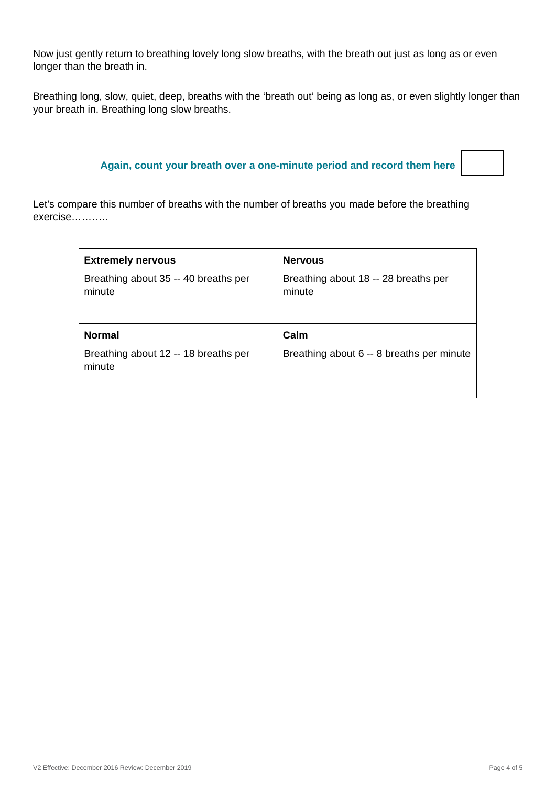Now just gently return to breathing lovely long slow breaths, with the breath out just as long as or even longer than the breath in.

Breathing long, slow, quiet, deep, breaths with the 'breath out' being as long as, or even slightly longer than your breath in. Breathing long slow breaths.

### **Again, count your breath over a one-minute period and record them here**

Let's compare this number of breaths with the number of breaths you made before the breathing exercise………..

| <b>Extremely nervous</b>                       | <b>Nervous</b>                                 |
|------------------------------------------------|------------------------------------------------|
| Breathing about 35 -- 40 breaths per<br>minute | Breathing about 18 -- 28 breaths per<br>minute |
| <b>Normal</b>                                  | Calm                                           |
| Breathing about 12 -- 18 breaths per<br>minute | Breathing about 6 -- 8 breaths per minute      |